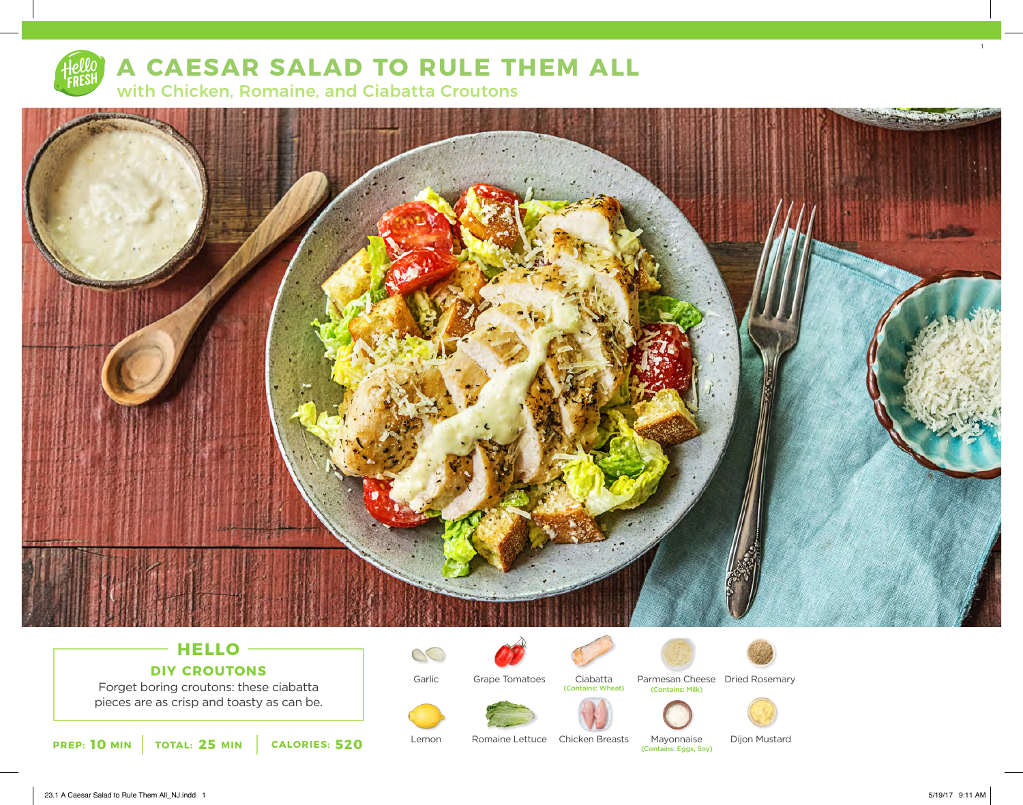

# **A CAESAR SALAD TO RULE THEM ALL** with Chicken, Romaine, and Ciabatta Croutons



# **HELLO DIY CROUTONS**

Forget boring croutons: these ciabatta pieces are as crisp and toasty as can be.

**10** MIN | TOTAL: 25 MIN | CALORIES: 520

Garlic

Lemon

 $\mathbb{C}$ 



Ciabatta Parmesan Cheese Dried Rosemary (Contains: Wheat)





(Contains: Milk)

Mayonnaise

(Contains: Eggs, Soy)



Romaine Lettuce Chicken Breasts Mayonnaise Dijon Mustard